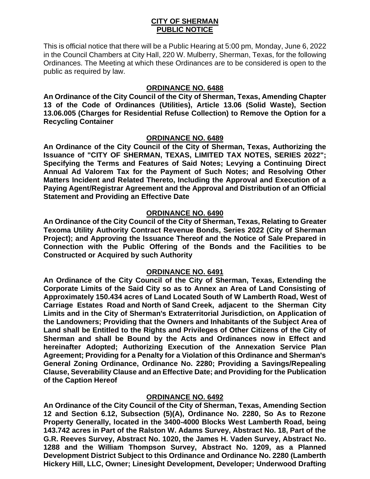## **CITY OF SHERMAN PUBLIC NOTICE**

This is official notice that there will be a Public Hearing at 5:00 pm, Monday, June 6, 2022 in the Council Chambers at City Hall, 220 W. Mulberry, Sherman, Texas, for the following Ordinances. The Meeting at which these Ordinances are to be considered is open to the public as required by law.

# **ORDINANCE NO. 6488**

**An Ordinance of the City Council of the City of Sherman, Texas, Amending Chapter 13 of the Code of Ordinances (Utilities), Article 13.06 (Solid Waste), Section 13.06.005 (Charges for Residential Refuse Collection) to Remove the Option for a Recycling Container**

### **ORDINANCE NO. 6489**

**An Ordinance of the City Council of the City of Sherman, Texas, Authorizing the Issuance of "CITY OF SHERMAN, TEXAS, LIMITED TAX NOTES, SERIES 2022"; Specifying the Terms and Features of Said Notes; Levying a Continuing Direct Annual Ad Valorem Tax for the Payment of Such Notes; and Resolving Other Matters Incident and Related Thereto, Including the Approval and Execution of a Paying Agent/Registrar Agreement and the Approval and Distribution of an Official Statement and Providing an Effective Date**

## **ORDINANCE NO. 6490**

**An Ordinance of the City Council of the City of Sherman, Texas, Relating to Greater Texoma Utility Authority Contract Revenue Bonds, Series 2022 (City of Sherman Project); and Approving the Issuance Thereof and the Notice of Sale Prepared in Connection with the Public Offering of the Bonds and the Facilities to be Constructed or Acquired by such Authority**

# **ORDINANCE NO. 6491**

**An Ordinance of the City Council of the City of Sherman, Texas, Extending the Corporate Limits of the Said City so as to Annex an Area of Land Consisting of Approximately 150.434 acres of Land Located South of W Lamberth Road, West of Carriage Estates Road and North of Sand Creek, adjacent to the Sherman City Limits and in the City of Sherman's Extraterritorial Jurisdiction, on Application of the Landowners; Providing that the Owners and Inhabitants of the Subject Area of Land shall be Entitled to the Rights and Privileges of Other Citizens of the City of Sherman and shall be Bound by the Acts and Ordinances now in Effect and hereinafter Adopted; Authorizing Execution of the Annexation Service Plan Agreement; Providing for a Penalty for a Violation of this Ordinance and Sherman's General Zoning Ordinance, Ordinance No. 2280; Providing a Savings/Repealing Clause, Severability Clause and an Effective Date; and Providing for the Publication of the Caption Hereof**

### **ORDINANCE NO. 6492**

**An Ordinance of the City Council of the City of Sherman, Texas, Amending Section 12 and Section 6.12, Subsection (5)(A), Ordinance No. 2280, So As to Rezone Property Generally, located in the 3400-4000 Blocks West Lamberth Road, being 143.742 acres in Part of the Ralston W. Adams Survey, Abstract No. 18, Part of the G.R. Reeves Survey, Abstract No. 1020, the James H. Vaden Survey, Abstract No. 1288 and the William Thompson Survey, Abstract No. 1209, as a Planned Development District Subject to this Ordinance and Ordinance No. 2280 (Lamberth Hickery Hill, LLC, Owner; Linesight Development, Developer; Underwood Drafting**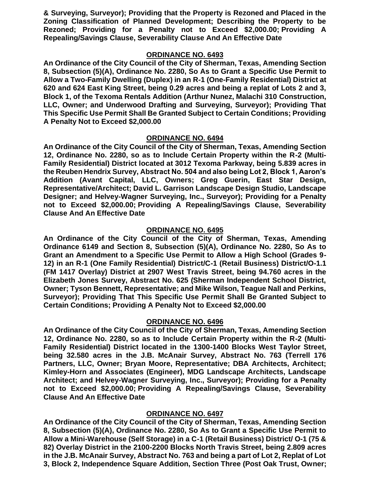**& Surveying, Surveyor); Providing that the Property is Rezoned and Placed in the Zoning Classification of Planned Development; Describing the Property to be Rezoned; Providing for a Penalty not to Exceed \$2,000.00; Providing A Repealing/Savings Clause, Severability Clause And An Effective Date**

## **ORDINANCE NO. 6493**

**An Ordinance of the City Council of the City of Sherman, Texas, Amending Section 8, Subsection (5)(A), Ordinance No. 2280, So As to Grant a Specific Use Permit to Allow a Two-Family Dwelling (Duplex) in an R-1 (One-Family Residential) District at 620 and 624 East King Street, being 0.29 acres and being a replat of Lots 2 and 3, Block 1, of the Texoma Rentals Addition (Arthur Nunez, Malachi 310 Construction, LLC, Owner; and Underwood Drafting and Surveying, Surveyor); Providing That This Specific Use Permit Shall Be Granted Subject to Certain Conditions; Providing A Penalty Not to Exceed \$2,000.00**

# **ORDINANCE NO. 6494**

**An Ordinance of the City Council of the City of Sherman, Texas, Amending Section 12, Ordinance No. 2280, so as to Include Certain Property within the R-2 (Multi-Family Residential) District located at 3012 Texoma Parkway, being 5.839 acres in the Reuben Hendrix Survey, Abstract No. 504 and also being Lot 2, Block 1, Aaron's Addition (Avant Capital, LLC, Owners; Greg Guerin, East Star Design, Representative/Architect; David L. Garrison Landscape Design Studio, Landscape Designer; and Helvey-Wagner Surveying, Inc., Surveyor); Providing for a Penalty not to Exceed \$2,000.00; Providing A Repealing/Savings Clause, Severability Clause And An Effective Date**

## **ORDINANCE NO. 6495**

**An Ordinance of the City Council of the City of Sherman, Texas, Amending Ordinance 6149 and Section 8, Subsection (5)(A), Ordinance No. 2280, So As to Grant an Amendment to a Specific Use Permit to Allow a High School (Grades 9- 12) in an R-1 (One Family Residential) District/C-1 (Retail Business) District/O-1.1 (FM 1417 Overlay) District at 2907 West Travis Street, being 94.760 acres in the Elizabeth Jones Survey, Abstract No. 625 (Sherman Independent School District, Owner; Tyson Bennett, Representative; and Mike Wilson, Teague Nall and Perkins, Surveyor); Providing That This Specific Use Permit Shall Be Granted Subject to Certain Conditions; Providing A Penalty Not to Exceed \$2,000.00**

# **ORDINANCE NO. 6496**

**An Ordinance of the City Council of the City of Sherman, Texas, Amending Section 12, Ordinance No. 2280, so as to Include Certain Property within the R-2 (Multi-Family Residential) District located in the 1300-1400 Blocks West Taylor Street, being 32.580 acres in the J.B. McAnair Survey, Abstract No. 763 (Terrell 176**  Partners, LLC, Owner; Bryan Moore, Representative; DBA Architects, Architect; **Kimley-Horn and Associates (Engineer), MDG Landscape Architects, Landscape Architect; and Helvey-Wagner Surveying, Inc., Surveyor); Providing for a Penalty not to Exceed \$2,000.00; Providing A Repealing/Savings Clause, Severability Clause And An Effective Date**

# **ORDINANCE NO. 6497**

**An Ordinance of the City Council of the City of Sherman, Texas, Amending Section 8, Subsection (5)(A), Ordinance No. 2280, So As to Grant a Specific Use Permit to Allow a Mini-Warehouse (Self Storage) in a C-1 (Retail Business) District/ O-1 (75 & 82) Overlay District in the 2100-2200 Blocks North Travis Street, being 2.809 acres in the J.B. McAnair Survey, Abstract No. 763 and being a part of Lot 2, Replat of Lot 3, Block 2, Independence Square Addition, Section Three (Post Oak Trust, Owner;**